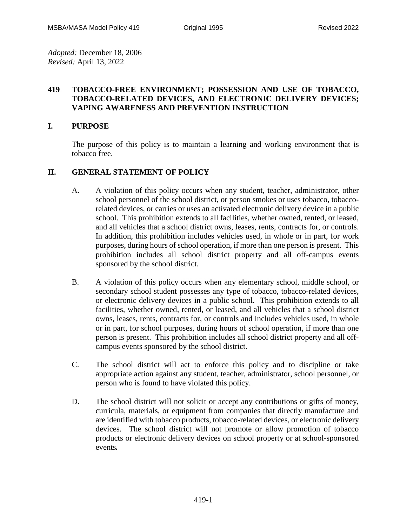*Adopted:* December 18, 2006 *Revised:* April 13, 2022

## **419 TOBACCO-FREE ENVIRONMENT; POSSESSION AND USE OF TOBACCO, TOBACCO-RELATED DEVICES, AND ELECTRONIC DELIVERY DEVICES; VAPING AWARENESS AND PREVENTION INSTRUCTION**

#### **I. PURPOSE**

The purpose of this policy is to maintain a learning and working environment that is tobacco free.

#### **II. GENERAL STATEMENT OF POLICY**

- A. A violation of this policy occurs when any student, teacher, administrator, other school personnel of the school district, or person smokes or uses tobacco, tobaccorelated devices, or carries or uses an activated electronic delivery device in a public school. This prohibition extends to all facilities, whether owned, rented, or leased, and all vehicles that a school district owns, leases, rents, contracts for, or controls. In addition, this prohibition includes vehicles used, in whole or in part, for work purposes, during hours of school operation, if more than one person is present. This prohibition includes all school district property and all off-campus events sponsored by the school district.
- B. A violation of this policy occurs when any elementary school, middle school, or secondary school student possesses any type of tobacco, tobacco-related devices, or electronic delivery devices in a public school. This prohibition extends to all facilities, whether owned, rented, or leased, and all vehicles that a school district owns, leases, rents, contracts for, or controls and includes vehicles used, in whole or in part, for school purposes, during hours of school operation, if more than one person is present. This prohibition includes all school district property and all offcampus events sponsored by the school district.
- C. The school district will act to enforce this policy and to discipline or take appropriate action against any student, teacher, administrator, school personnel, or person who is found to have violated this policy.
- D. The school district will not solicit or accept any contributions or gifts of money, curricula, materials, or equipment from companies that directly manufacture and are identified with tobacco products, tobacco-related devices, or electronic delivery devices. The school district will not promote or allow promotion of tobacco products or electronic delivery devices on school property or at school-sponsored events*.*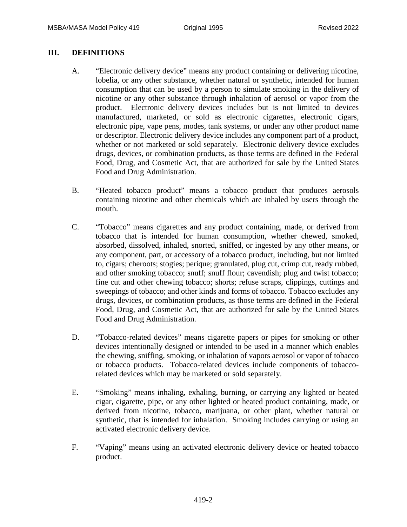## **III. DEFINITIONS**

- A. "Electronic delivery device" means any product containing or delivering nicotine, lobelia, or any other substance, whether natural or synthetic, intended for human consumption that can be used by a person to simulate smoking in the delivery of nicotine or any other substance through inhalation of aerosol or vapor from the product. Electronic delivery devices includes but is not limited to devices manufactured, marketed, or sold as electronic cigarettes, electronic cigars, electronic pipe, vape pens, modes, tank systems, or under any other product name or descriptor. Electronic delivery device includes any component part of a product, whether or not marketed or sold separately. Electronic delivery device excludes drugs, devices, or combination products, as those terms are defined in the Federal Food, Drug, and Cosmetic Act, that are authorized for sale by the United States Food and Drug Administration.
- B. "Heated tobacco product" means a tobacco product that produces aerosols containing nicotine and other chemicals which are inhaled by users through the mouth.
- C. "Tobacco" means cigarettes and any product containing, made, or derived from tobacco that is intended for human consumption, whether chewed, smoked, absorbed, dissolved, inhaled, snorted, sniffed, or ingested by any other means, or any component, part, or accessory of a tobacco product, including, but not limited to, cigars; cheroots; stogies; perique; granulated, plug cut, crimp cut, ready rubbed, and other smoking tobacco; snuff; snuff flour; cavendish; plug and twist tobacco; fine cut and other chewing tobacco; shorts; refuse scraps, clippings, cuttings and sweepings of tobacco; and other kinds and forms of tobacco. Tobacco excludes any drugs, devices, or combination products, as those terms are defined in the Federal Food, Drug, and Cosmetic Act, that are authorized for sale by the United States Food and Drug Administration.
- D. "Tobacco-related devices" means cigarette papers or pipes for smoking or other devices intentionally designed or intended to be used in a manner which enables the chewing, sniffing, smoking, or inhalation of vapors aerosol or vapor of tobacco or tobacco products. Tobacco-related devices include components of tobaccorelated devices which may be marketed or sold separately.
- E. "Smoking" means inhaling, exhaling, burning, or carrying any lighted or heated cigar, cigarette, pipe, or any other lighted or heated product containing, made, or derived from nicotine, tobacco, marijuana, or other plant, whether natural or synthetic, that is intended for inhalation. Smoking includes carrying or using an activated electronic delivery device.
- F. "Vaping" means using an activated electronic delivery device or heated tobacco product.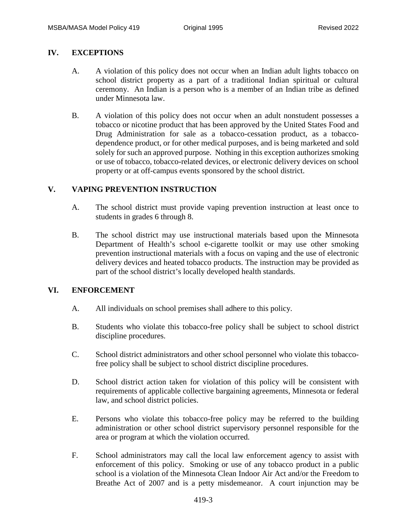## **IV. EXCEPTIONS**

- A. A violation of this policy does not occur when an Indian adult lights tobacco on school district property as a part of a traditional Indian spiritual or cultural ceremony. An Indian is a person who is a member of an Indian tribe as defined under Minnesota law.
- B. A violation of this policy does not occur when an adult nonstudent possesses a tobacco or nicotine product that has been approved by the United States Food and Drug Administration for sale as a tobacco-cessation product, as a tobaccodependence product, or for other medical purposes, and is being marketed and sold solely for such an approved purpose. Nothing in this exception authorizes smoking or use of tobacco, tobacco-related devices, or electronic delivery devices on school property or at off-campus events sponsored by the school district.

## **V. VAPING PREVENTION INSTRUCTION**

- A. The school district must provide vaping prevention instruction at least once to students in grades 6 through 8.
- B. The school district may use instructional materials based upon the Minnesota Department of Health's school e-cigarette toolkit or may use other smoking prevention instructional materials with a focus on vaping and the use of electronic delivery devices and heated tobacco products. The instruction may be provided as part of the school district's locally developed health standards.

#### **VI. ENFORCEMENT**

- A. All individuals on school premises shall adhere to this policy.
- B. Students who violate this tobacco-free policy shall be subject to school district discipline procedures.
- C. School district administrators and other school personnel who violate this tobaccofree policy shall be subject to school district discipline procedures.
- D. School district action taken for violation of this policy will be consistent with requirements of applicable collective bargaining agreements, Minnesota or federal law, and school district policies.
- E. Persons who violate this tobacco-free policy may be referred to the building administration or other school district supervisory personnel responsible for the area or program at which the violation occurred.
- F. School administrators may call the local law enforcement agency to assist with enforcement of this policy. Smoking or use of any tobacco product in a public school is a violation of the Minnesota Clean Indoor Air Act and/or the Freedom to Breathe Act of 2007 and is a petty misdemeanor. A court injunction may be